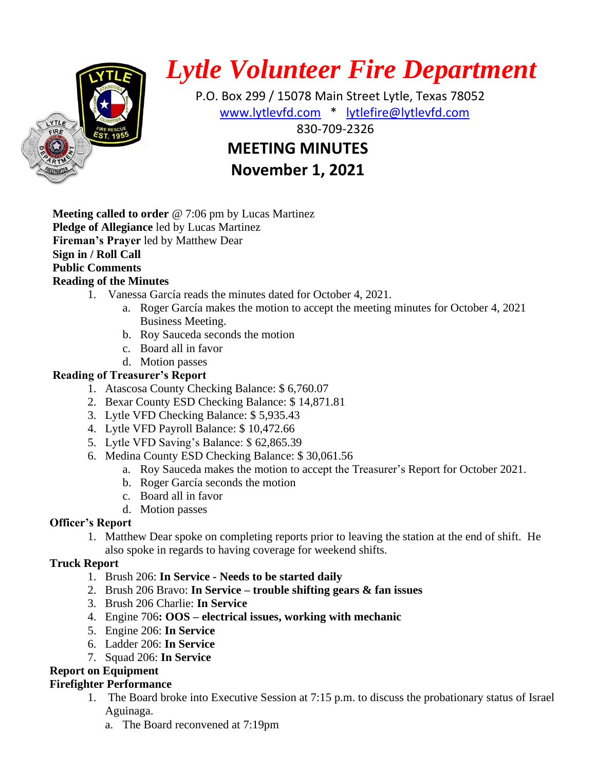

# *Lytle Volunteer Fire Department*

 P.O. Box 299 / 15078 Main Street Lytle, Texas 78052 [www.lytlevfd.com](http://www.lytlevfd.com/) \* [lytlefire@lytlevfd.com](mailto:lytlefire@lytlevfd.com) **EIRE ALSO STREAKSOUS 1999-2326 MEETING MINUTES**

**November 1, 2021**

**Meeting called to order** @ 7:06 pm by Lucas Martinez **Pledge of Allegiance** led by Lucas Martinez **Fireman's Prayer** led by Matthew Dear **Sign in / Roll Call Public Comments Reading of the Minutes**

- 1. Vanessa García reads the minutes dated for October 4, 2021.
	- a. Roger García makes the motion to accept the meeting minutes for October 4, 2021 Business Meeting.
	- b. Roy Sauceda seconds the motion
	- c. Board all in favor
	- d. Motion passes

## **Reading of Treasurer's Report**

- 1. Atascosa County Checking Balance: \$ 6,760.07
- 2. Bexar County ESD Checking Balance: \$ 14,871.81
- 3. Lytle VFD Checking Balance: \$ 5,935.43
- 4. Lytle VFD Payroll Balance: \$ 10,472.66
- 5. Lytle VFD Saving's Balance: \$ 62,865.39
- 6. Medina County ESD Checking Balance: \$ 30,061.56
	- a. Roy Sauceda makes the motion to accept the Treasurer's Report for October 2021.
	- b. Roger García seconds the motion
	- c. Board all in favor
	- d. Motion passes

#### **Officer's Report**

1. Matthew Dear spoke on completing reports prior to leaving the station at the end of shift. He also spoke in regards to having coverage for weekend shifts.

## **Truck Report**

- 1. Brush 206: **In Service - Needs to be started daily**
- 2. Brush 206 Bravo: **In Service – trouble shifting gears & fan issues**
- 3. Brush 206 Charlie: **In Service**
- 4. Engine 706**: OOS – electrical issues, working with mechanic**
- 5. Engine 206: **In Service**
- 6. Ladder 206: **In Service**
- 7. Squad 206: **In Service**

## **Report on Equipment**

## **Firefighter Performance**

- 1. The Board broke into Executive Session at 7:15 p.m. to discuss the probationary status of Israel Aguinaga.
	- a. The Board reconvened at 7:19pm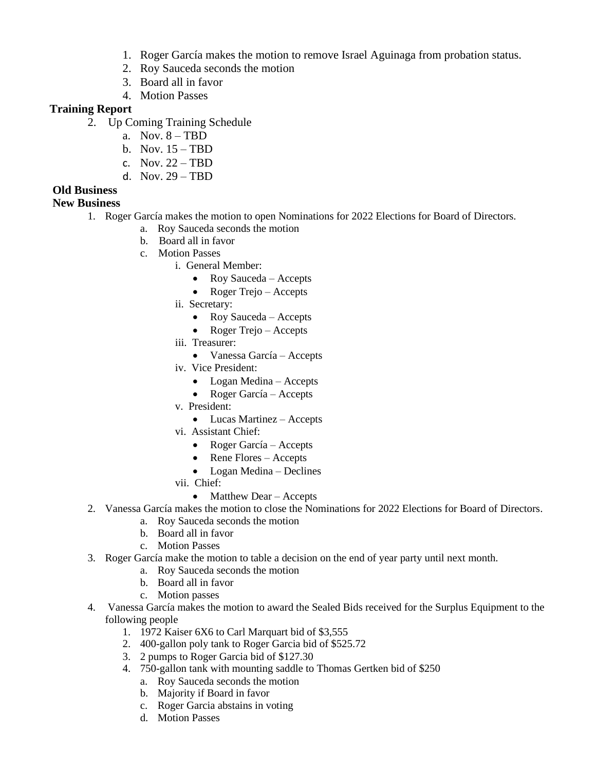- 1. Roger García makes the motion to remove Israel Aguinaga from probation status.
- 2. Roy Sauceda seconds the motion
- 3. Board all in favor
- 4. Motion Passes

#### **Training Report**

- 2. Up Coming Training Schedule
	- a. Nov. 8 TBD
	- b. Nov. 15 TBD
	- c. Nov.  $22 TRD$
	- d. Nov. 29 TBD

#### **Old Business**

#### **New Business**

- 1. Roger García makes the motion to open Nominations for 2022 Elections for Board of Directors.
	- a. Roy Sauceda seconds the motion
	- b. Board all in favor
	- c. Motion Passes
		- i. General Member:
			- Roy Sauceda Accepts
			- Roger Trejo Accepts
		- ii. Secretary:
			- Roy Sauceda Accepts
			- Roger Trejo Accepts
		- iii. Treasurer:
			- Vanessa García Accepts
		- iv. Vice President:
			- Logan Medina Accepts
			- Roger García Accepts
		- v. President:
			- Lucas Martinez Accepts
		- vi. Assistant Chief:
			- Roger García Accepts
			- Rene Flores Accepts
			- Logan Medina Declines
		- vii. Chief:
			- Matthew Dear Accepts
- 2. Vanessa García makes the motion to close the Nominations for 2022 Elections for Board of Directors.
	- a. Roy Sauceda seconds the motion
	- b. Board all in favor
	- c. Motion Passes
- 3. Roger García make the motion to table a decision on the end of year party until next month.
	- a. Roy Sauceda seconds the motion
	- b. Board all in favor
	- c. Motion passes
- 4. Vanessa García makes the motion to award the Sealed Bids received for the Surplus Equipment to the following people
	- 1. 1972 Kaiser 6X6 to Carl Marquart bid of \$3,555
	- 2. 400-gallon poly tank to Roger Garcia bid of \$525.72
	- 3. 2 pumps to Roger Garcia bid of \$127.30
	- 4. 750-gallon tank with mounting saddle to Thomas Gertken bid of \$250
		- a. Roy Sauceda seconds the motion
		- b. Majority if Board in favor
		- c. Roger Garcia abstains in voting
		- d. Motion Passes